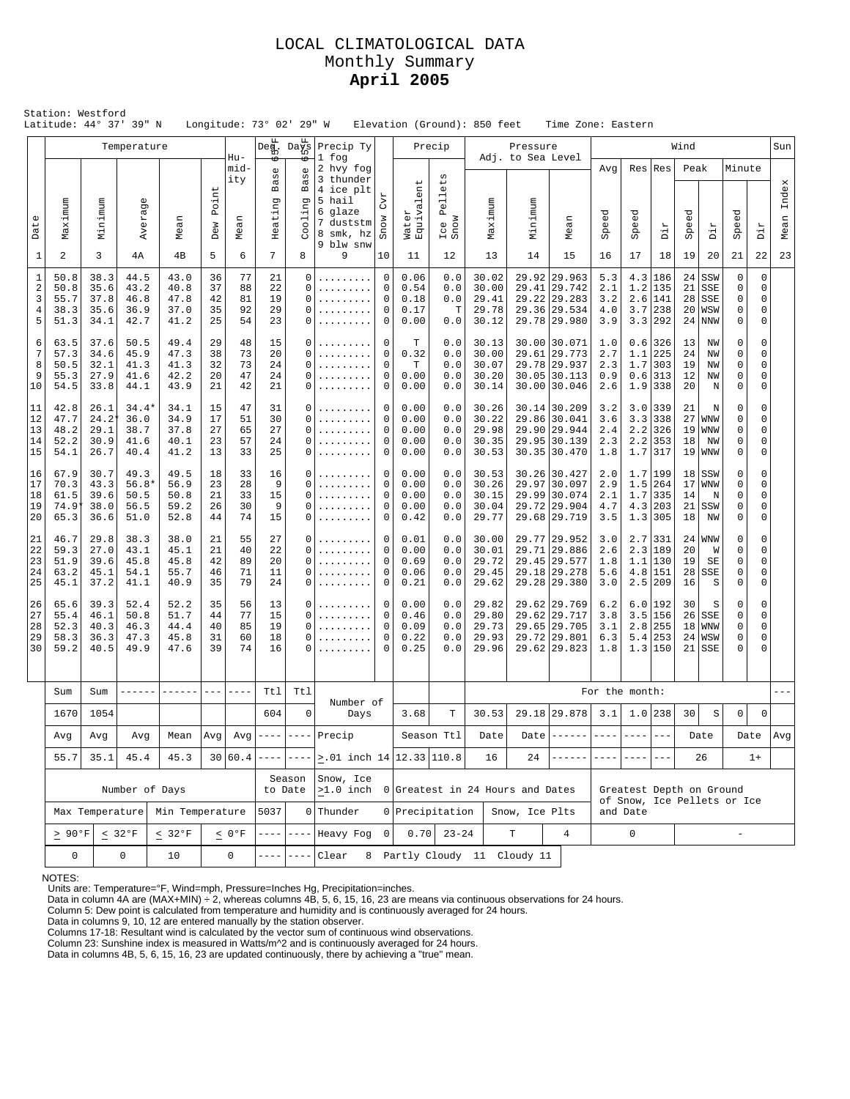### LOCAL CLIMATOLOGICAL DATA Monthly Summary **April 2005**

|                                               | Station: Westford<br>Latitude: 44° 37' 39" N     |                                                                                |                                         |                                      |                            |                            |                                   | Longitude: 73° 02' 29" W                                                  |                                                                                    |                                                                                             |                                            |                                                                                 | Elevation (Ground): 850 feet              |                                    | Time Zone: Eastern                                                             |                                 |                          |                                                             |                             |                                            |                                 |                       |               |
|-----------------------------------------------|--------------------------------------------------|--------------------------------------------------------------------------------|-----------------------------------------|--------------------------------------|----------------------------|----------------------------|-----------------------------------|---------------------------------------------------------------------------|------------------------------------------------------------------------------------|---------------------------------------------------------------------------------------------|--------------------------------------------|---------------------------------------------------------------------------------|-------------------------------------------|------------------------------------|--------------------------------------------------------------------------------|---------------------------------|--------------------------|-------------------------------------------------------------|-----------------------------|--------------------------------------------|---------------------------------|-----------------------|---------------|
|                                               |                                                  |                                                                                | Temperature                             |                                      |                            | $Hu-$                      | $\mathsf{Deg}_{\mathsf{D}}$<br>₩  | $\mathtt{Da}_{10}^{\mathtt{fn}}$<br>6                                     | Precip Ty<br>1 fog                                                                 |                                                                                             |                                            | Precip                                                                          |                                           | Pressure<br>Adj. to Sea Level      |                                                                                |                                 |                          |                                                             |                             |                                            |                                 |                       | Sun           |
| Date                                          | Maximum                                          | Minimum                                                                        | Averag                                  | Mean                                 | Point<br>Dew               | mid-<br>ity<br>Mean        | $\mathbb U$<br>ăg<br>Щ<br>Heating | O)<br>UΩ<br>൯<br>$\mathbf m$<br>ה<br>$01$ in<br>8                         | 2 hvy fog<br>3 thunder<br>4 ice plt<br>5 hail<br>6 glaze<br>7 duststm<br>8 smk, hz | CVT<br>Snow                                                                                 | $\overline{ }$<br>en.<br>Water<br>Equivale | $_{\rm t,s}$<br>$\mathbb U$<br>$\overline{\phantom{0}}$<br>Pe1<br>Ice I<br>Snow | Maximum                                   | Minimum                            | Mean                                                                           | Avg<br>Speed                    | Res<br>eed<br>ğ          | Res<br>Dir                                                  | Peak<br>Speed               | Dir                                        | Minute<br>Speed                 | Dir                   | Index<br>Mean |
| $1\,$                                         | 2                                                | 3                                                                              | 4A                                      | 4B                                   | 5                          | 6                          | 7                                 | 8                                                                         | 9 blw snw<br>9                                                                     | 10                                                                                          | 11                                         | 12                                                                              | 13                                        | 14                                 | 15                                                                             | 16                              | 17                       | 18                                                          | 19                          | 20                                         | 21                              | 22                    | 23            |
| $\mathbf{1}$<br>$\overline{2}$<br>3<br>4<br>5 | 50.8<br>50.8<br>55.7<br>38.3<br>51.3             | 38.3<br>35.6<br>37.8<br>35.6<br>34.1                                           | 44.5<br>43.2<br>46.8<br>36.9<br>42.7    | 43.0<br>40.8<br>47.8<br>37.0<br>41.2 | 36<br>37<br>42<br>35<br>25 | 77<br>88<br>81<br>92<br>54 | 21<br>22<br>19<br>29<br>23        | $\mathbf 0$<br>$\Omega$<br>$\Omega$<br>$\Omega$<br>0                      | .<br>.<br>.<br>.                                                                   | $\mathsf 0$<br>$\mathbf 0$<br>0<br>0<br>$\mathbf 0$                                         | 0.06<br>0.54<br>0.18<br>0.17<br>0.00       | 0.0<br>0.0<br>0.0<br>Т<br>0.0                                                   | 30.02<br>30.00<br>29.41<br>29.78<br>30.12 |                                    | 29.92 29.963<br>29.41 29.742<br>29.22 29.283<br>29.36 29.534<br>29.78 29.980   | 5.3<br>2.1<br>3.2<br>4.0<br>3.9 | 1.2<br>3.7               | 4.3 186<br>135<br>$2.6 \mid 141$<br>238<br>3.3 292          | 24<br>21<br>28<br>20<br>24  | SSW<br>SSE<br>SSE<br>WSW<br><b>NNW</b>     | 0<br>0<br>0<br>0<br>0           | 0<br>0<br>0<br>0<br>0 |               |
| 6<br>7<br>8<br>9<br>10                        | 63.5<br>57.3<br>50.5<br>55.3<br>54.5             | 37.6<br>34.6<br>32.1<br>27.9<br>33.8                                           | 50.5<br>45.9<br>41.3<br>41.6<br>44.1    | 49.4<br>47.3<br>41.3<br>42.2<br>43.9 | 29<br>38<br>32<br>20<br>21 | 48<br>73<br>73<br>47<br>42 | 15<br>20<br>24<br>24<br>21        | 0<br>$\Omega$<br>$\Omega$<br>$\Omega$<br>0                                | .<br>.<br>.<br>.                                                                   | $\mathbf 0$<br>$\mathbf 0$<br>$\mathbf 0$<br>$\mathsf 0$<br>$\mathbf 0$                     | т<br>0.32<br>T<br>0.00<br>0.00             | 0.0<br>0.0<br>0.0<br>0.0<br>0.0                                                 | 30.13<br>30.00<br>30.07<br>30.20<br>30.14 |                                    | 30.00 30.071<br>29.61 29.773<br>29.78 29.937<br>30.05 30.113<br>30.00 30.046   | 1.0<br>2.7<br>2.3<br>0.9<br>2.6 | 1.1<br>1.7<br>0.6        | $0.6$   326<br>225<br>303<br>313<br>$1.9$ 338               | 13<br>24<br>19<br>12<br>20  | NW<br>NW<br>NW<br>NW<br>N                  | $\mathbf 0$<br>0<br>0<br>0<br>0 | 0<br>0<br>0<br>0<br>0 |               |
| 11<br>12<br>13<br>14<br>15                    | 42.8<br>47.7<br>48.2<br>52.2<br>54.1             | 26.1<br>$24.2*$<br>29.1<br>30.9<br>26.7                                        | $34.4*$<br>36.0<br>38.7<br>41.6<br>40.4 | 34.1<br>34.9<br>37.8<br>40.1<br>41.2 | 15<br>17<br>27<br>23<br>13 | 47<br>51<br>65<br>57<br>33 | 31<br>30<br>27<br>24<br>25        | 0<br>$\Omega$<br>$\Omega$<br>0<br>0                                       | .<br>.<br>.<br>.                                                                   | 0<br>$\mathbf 0$<br>$\mathbf 0$<br>0<br>$\mathbf 0$                                         | 0.00<br>0.00<br>0.00<br>0.00<br>0.00       | 0.0<br>0.0<br>0.0<br>0.0<br>0.0                                                 | 30.26<br>30.22<br>29.98<br>30.35<br>30.53 |                                    | 30.14 30.209<br>29.86 30.041<br>29.90 29.944<br>29.95 30.139<br>$30.35$ 30.470 | 3.2<br>3.6<br>2.4<br>2.3<br>1.8 | 3.0                      | 339<br>$3.3$ 338<br>$2.2$ 326<br>$2.2$ 353<br>$1.7$   317   | 21<br>27<br>19<br>18<br>19  | N<br><b>WNW</b><br><b>WNW</b><br>ΝW<br>WNW | 0<br>0<br>0<br>0<br>0           | 0<br>0<br>0<br>0<br>0 |               |
| 16<br>17<br>18<br>19<br>20                    | 67.9<br>70.3<br>61.5<br>74.9<br>65.3             | 30.7<br>43.3<br>39.6<br>38.0<br>36.6                                           | 49.3<br>$56.8*$<br>50.5<br>56.5<br>51.0 | 49.5<br>56.9<br>50.8<br>59.2<br>52.8 | 18<br>23<br>21<br>26<br>44 | 33<br>28<br>33<br>30<br>74 | 16<br>9<br>15<br>9<br>15          | 0<br>$\Omega$<br>$\Omega$<br>$\Omega$<br>0                                | .<br>.<br>.<br>.                                                                   | 0<br>0<br>$\mathbf 0$<br>$\mathsf 0$<br>$\mathbf 0$                                         | 0.00<br>0.00<br>0.00<br>0.00<br>0.42       | 0.0<br>0.0<br>0.0<br>0.0<br>0.0                                                 | 30.53<br>30.26<br>30.15<br>30.04<br>29.77 |                                    | 30.26 30.427<br>29.97 30.097<br>29.99 30.074<br>29.72 29.904<br>29.68 29.719   | 2.0<br>2.9<br>2.1<br>4.7<br>3.5 | 1.7                      | 1.7 199<br>$1.5$  264<br>335<br>4.3 203<br>$1.3$ 305        | 18<br>17<br>14<br>21<br>18  | SSW<br>WNW<br>N<br>SSW<br>NW               | 0<br>0<br>0<br>0<br>0           | 0<br>0<br>0<br>0<br>0 |               |
| 21<br>22<br>23<br>24<br>25                    | 46.7<br>59.3<br>51.9<br>63.2<br>45.1             | 29.8<br>27.0<br>39.6<br>45.1<br>37.2                                           | 38.3<br>43.1<br>45.8<br>54.1<br>41.1    | 38.0<br>45.1<br>45.8<br>55.7<br>40.9 | 21<br>21<br>42<br>46<br>35 | 55<br>40<br>89<br>71<br>79 | 27<br>22<br>20<br>11<br>24        | 0<br>0<br>0<br>0<br>0                                                     | .<br>.<br>.                                                                        | 0<br>0<br>$\mathsf 0$<br>$\mathbf 0$<br>0                                                   |                                            | 0.0<br>0.0<br>0.0<br>0.0<br>0.0                                                 | 30.00<br>30.01<br>29.72<br>29.45<br>29.62 |                                    | 29.77 29.952<br>29.71 29.886<br>29.45 29.577<br>29.18 29.278<br>29.28 29.380   | 3.0<br>2.6<br>1.8<br>5.6<br>3.0 |                          | $2.7$   331<br>2.3 189<br>$1.1$   130<br>4.8 151<br>2.5 209 | 24<br>20<br>19<br>28<br>16  | WNW<br>W<br>SE<br>SSE<br>S                 | $\Omega$<br>0<br>0<br>0<br>0    | 0<br>0<br>0<br>0<br>0 |               |
| 26<br>27<br>28<br>29<br>30                    | 65.6<br>55.4<br>52.3<br>58.3<br>59.2             | 39.3<br>46.1<br>40.3<br>36.3<br>40.5                                           | 52.4<br>50.8<br>46.3<br>47.3<br>49.9    | 52.2<br>51.7<br>44.4<br>45.8<br>47.6 | 35<br>44<br>40<br>31<br>39 | 56<br>77<br>85<br>60<br>74 | 13<br>15<br>19<br>18<br>16        | 0<br>0<br>$\Omega$<br>0<br>0                                              | .                                                                                  | $\mathbf 0$<br>0.00<br>0<br>0.46<br>0<br>0.09<br>$\mathbf 0$<br>0.22<br>$\mathbf 0$<br>0.25 |                                            | 0.0<br>0.0<br>0.0<br>0.0<br>0.0                                                 | 29.82<br>29.80<br>29.73<br>29.93<br>29.96 |                                    | 29.62 29.769<br>29.62 29.717<br>29.65 29.705<br>29.72 29.801<br>29.62 29.823   | 6.2<br>3.8<br>3.1<br>6.3<br>1.8 | 5.4                      | 6.0 192<br>3.5 156<br>$2.8$ 255<br>253<br>1.3 150           | 30<br>26<br>18<br>24<br>21  | S<br>  SSE<br>WNW<br>WSW<br>SSE            | 0<br>0<br>0<br>0<br>0           | 0<br>0<br>0<br>0<br>0 |               |
|                                               | Sum                                              | Sum                                                                            |                                         |                                      | $---$                      |                            | Ttl                               | Tt1                                                                       | Number of                                                                          |                                                                                             |                                            |                                                                                 |                                           |                                    |                                                                                | For the month:                  |                          |                                                             |                             |                                            |                                 |                       |               |
|                                               | 1670                                             | 1054                                                                           |                                         |                                      |                            |                            | 604                               | $\mathbf 0$                                                               | Days                                                                               |                                                                                             | 3.68                                       | T                                                                               | 30.53                                     |                                    | 29.18 29.878                                                                   | 3.1                             |                          | $1.0$  238                                                  | 30                          | $\rm S$                                    | 0                               | 0                     |               |
|                                               | Avg                                              | Avg                                                                            | Avg                                     | Mean                                 | Avg                        | Avg                        |                                   |                                                                           | $--- --- $ Precip                                                                  |                                                                                             |                                            | Season Ttl                                                                      | Date                                      | Date                               |                                                                                |                                 | $- - - -$                |                                                             |                             | Date                                       | Date                            | $1+$                  | Avg           |
|                                               | 55.7                                             | 35.1                                                                           | 45.4                                    | 45.3                                 |                            | 30 60.4                    |                                   |                                                                           | $\vert$ >.01 inch 14 12.33 110.8                                                   |                                                                                             |                                            |                                                                                 | 16                                        | 24                                 |                                                                                |                                 |                          |                                                             | 26                          |                                            |                                 |                       |               |
|                                               | Number of Days                                   |                                                                                |                                         |                                      |                            |                            |                                   | Season<br>to Date                                                         | Snow, Ice<br>$>1.0$ inch                                                           |                                                                                             |                                            |                                                                                 |                                           | $0$ Greatest in 24 Hours and Dates |                                                                                |                                 | Greatest Depth on Ground |                                                             |                             |                                            |                                 |                       |               |
|                                               | Max Temperature                                  |                                                                                |                                         | Min Temperature                      |                            |                            | 5037                              | 0                                                                         | Thunder                                                                            |                                                                                             | 0 Precipitation                            |                                                                                 |                                           | Snow, Ice Plts                     |                                                                                | and Date                        |                          |                                                             | of Snow, Ice Pellets or Ice |                                            |                                 |                       |               |
|                                               |                                                  | $\geq 90^{\circ}F$<br>$< 32^{\circ} \mathrm{F}$<br>$< 32^{\circ}F$<br>$< 0$ °F |                                         |                                      |                            | $- - - -$                  | $- - - -$                         | 0.70<br>$23 - 24$<br>T<br>$\overline{4}$<br>0<br>Heavy Fog<br>$\mathbf 0$ |                                                                                    |                                                                                             |                                            |                                                                                 |                                           |                                    | $\overline{\phantom{a}}$                                                       |                                 |                          |                                                             |                             |                                            |                                 |                       |               |
|                                               | 0<br>0<br>Clear<br>10<br>0<br>$---$<br>$- - - -$ |                                                                                |                                         |                                      |                            |                            |                                   |                                                                           |                                                                                    | 8 Partly Cloudy 11 Cloudy 11                                                                |                                            |                                                                                 |                                           |                                    |                                                                                |                                 |                          |                                                             |                             |                                            |                                 |                       |               |

NOTES:

Units are: Temperature=°F, Wind=mph, Pressure=Inches Hg, Precipitation=inches.<br>Data in column 4A are (MAX+MIN) ÷ 2, whereas columns 4B, 5, 6, 15, 16, 23 are means via continuous observations for 24 hours.<br>Column 5: Dew po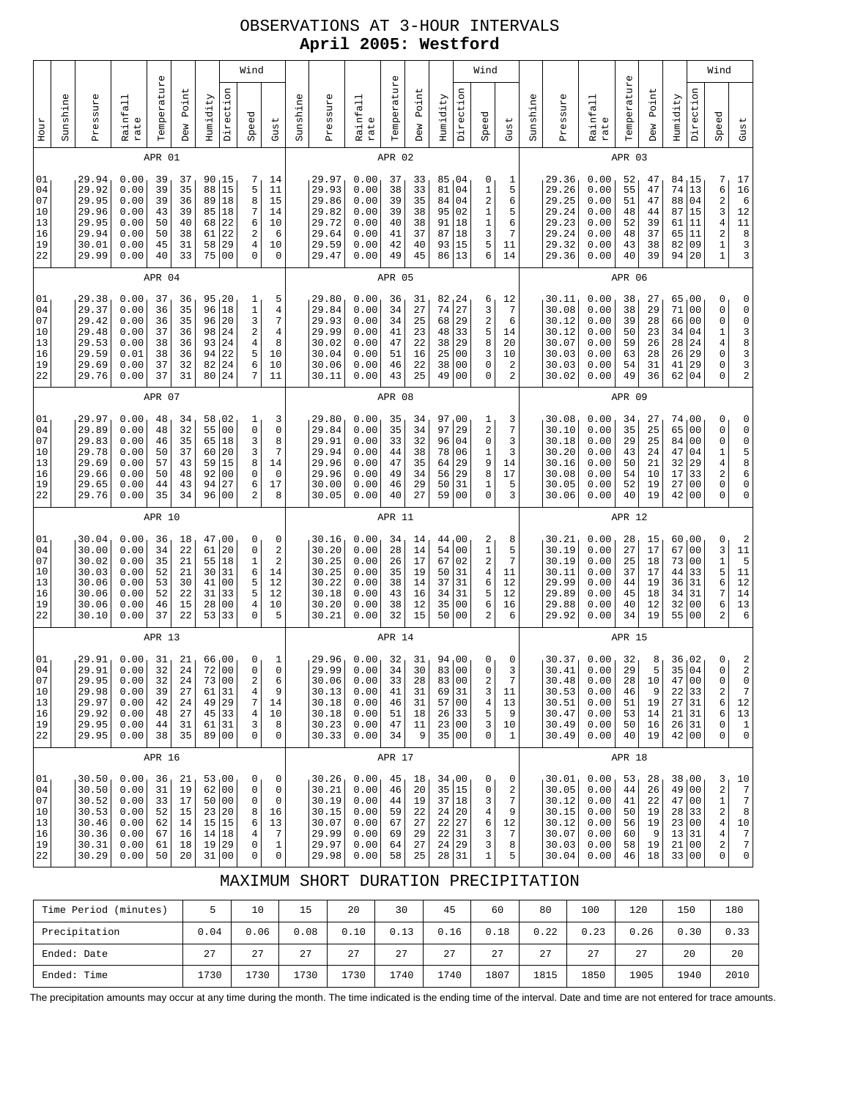# OBSERVATIONS AT 3-HOUR INTERVALS **April 2005: Westford**

|                                              |          |                                                                      |                                                              | $\mathbb U$                                  |                                              |                                              |                                                                                      | Wind                                                          |                                                                      |          |                                                                      |                                                              | $\mathbb U$                                  |                                              |                                                                |                                                                                   | Wind                                                     |                                                                         |          |                                                                      |                                                              | $\mathbb U$                                  |                                              |                                                                    |                                                                                   | Wind                                                                                                                    |  |
|----------------------------------------------|----------|----------------------------------------------------------------------|--------------------------------------------------------------|----------------------------------------------|----------------------------------------------|----------------------------------------------|--------------------------------------------------------------------------------------|---------------------------------------------------------------|----------------------------------------------------------------------|----------|----------------------------------------------------------------------|--------------------------------------------------------------|----------------------------------------------|----------------------------------------------|----------------------------------------------------------------|-----------------------------------------------------------------------------------|----------------------------------------------------------|-------------------------------------------------------------------------|----------|----------------------------------------------------------------------|--------------------------------------------------------------|----------------------------------------------|----------------------------------------------|--------------------------------------------------------------------|-----------------------------------------------------------------------------------|-------------------------------------------------------------------------------------------------------------------------|--|
| Hour                                         | Sunshine | Pressure                                                             | Rainfall<br>rate                                             | Temperatur                                   | Point<br>Dew                                 | Humidity                                     | Direction                                                                            | Speed                                                         | Gust                                                                 | Sunshine | Pressure                                                             | Rainfall<br>rate                                             | Temperatur                                   | Point<br>Dew                                 | Humidity                                                       | Direction                                                                         | Speed                                                    | Gust                                                                    | Sunshine | Pressure                                                             | Rainfall<br>rate                                             | Temperatur                                   | Point<br>Dew                                 | Humidity                                                           | Direction                                                                         | Speed                                                                                                                   |  |
|                                              |          |                                                                      |                                                              | APR 01                                       |                                              |                                              |                                                                                      |                                                               |                                                                      |          |                                                                      |                                                              | APR 02                                       |                                              |                                                                |                                                                                   |                                                          |                                                                         |          |                                                                      |                                                              | APR 03                                       |                                              |                                                                    |                                                                                   |                                                                                                                         |  |
| 01<br>04<br>07<br>10<br>13<br>16<br>19<br>22 |          | 29.94<br>29.92<br>29.95<br>29.96<br>29.95<br>29.94<br>30.01<br>29.99 | 0.00<br>0.00<br>0.00<br>0.00<br>0.00<br>0.00<br>0.00<br>0.00 | 39<br>39<br>39<br>43<br>50<br>50<br>45<br>40 | 37<br>35<br>36<br>39<br>40<br>38<br>31<br>33 | 90<br>88<br>89<br>85<br>68<br>61<br>58<br>75 | 15<br>15<br>18<br>18<br>22<br>22<br>29<br>0 <sub>0</sub>                             | 7<br>5<br>8<br>7<br>6<br>2<br>4<br>0                          | 14<br>11<br>15<br>14<br>10<br>6<br>10<br>$\mathbf 0$                 |          | 29.97<br>29.93<br>29.86<br>29.82<br>29.72<br>29.64<br>29.59<br>29.47 | 0.00<br>0.00<br>0.00<br>0.00<br>0.00<br>0.00<br>0.00<br>0.00 | 37<br>38<br>39<br>39<br>40<br>41<br>42<br>49 | 33<br>33<br>35<br>38<br>38<br>37<br>40<br>45 | 85<br>81<br>84<br>95<br>91<br>87<br>93<br>86                   | 04<br>04<br>04<br>02<br>18<br>18<br>15<br>13                                      | 0<br>1<br>2<br>$\mathbf 1$<br>$\mathbf 1$<br>3<br>5<br>6 | 1<br>5<br>6<br>5<br>6<br>7<br>11<br>14                                  |          | 29.36<br>29.26<br>29.25<br>29.24<br>29.23<br>29.24<br>29.32<br>29.36 | 0.00<br>0.00<br>0.00<br>0.00<br>0.00<br>0.00<br>0.00<br>0.00 | 52<br>55<br>51<br>48<br>52<br>48<br>43<br>40 | 47<br>47<br>47<br>44<br>39<br>37<br>38<br>39 | 84<br>74<br>88<br>87<br>61<br>65<br>82<br>94                       | 15<br>13<br>04<br>15<br> 11<br>11<br>09<br>20                                     | 7<br>6<br>$\overline{\mathbf{c}}$<br>3<br>$\overline{4}$<br>$\overline{\mathbf{c}}$<br>$\mathbf{1}$<br>$1\,$            |  |
|                                              |          |                                                                      |                                                              | APR 04                                       |                                              |                                              |                                                                                      |                                                               |                                                                      |          |                                                                      |                                                              | APR 05                                       |                                              |                                                                |                                                                                   |                                                          |                                                                         |          |                                                                      |                                                              | APR 06                                       |                                              |                                                                    |                                                                                   |                                                                                                                         |  |
| 01<br>04<br>07<br>10<br>13<br>16<br>19<br>22 |          | 29.38<br>29.37<br>29.42<br>29.48<br>29.53<br>29.59<br>29.69<br>29.76 | 0.00<br>0.00<br>0.00<br>0.00<br>0.00<br>0.01<br>0.00<br>0.00 | 37<br>36<br>36<br>37<br>38<br>38<br>37<br>37 | 36<br>35<br>35<br>36<br>36<br>36<br>32<br>31 | 95<br>96<br>96<br>98<br>93<br>94<br>82<br>80 | 20<br>18<br>20<br>24<br>24<br>22<br>24<br>24                                         | 1<br>$\mathbf 1$<br>3<br>$\sqrt{2}$<br>$\bf 4$<br>5<br>6<br>7 | 5<br>$\overline{4}$<br>$\overline{7}$<br>4<br>8<br>10<br>10<br>11    |          | 29.80<br>29.84<br>29.93<br>29.99<br>30.02<br>30.04<br>30.06<br>30.11 | 0.00<br>0.00<br>0.00<br>0.00<br>0.00<br>0.00<br>0.00<br>0.00 | 36<br>34<br>34<br>41<br>47<br>51<br>46<br>43 | 31<br>27<br>25<br>23<br>22<br>16<br>22<br>25 | 82, 24<br>74<br>68<br>48<br>38<br>25<br>38<br>49               | 27<br>29<br>33<br>29<br>00<br>0 <sub>0</sub><br>0 <sub>0</sub>                    | 6<br>3<br>$\mathbf 2$<br>5<br>8<br>3<br>0<br>0           | 12<br>$\sqrt{ }$<br>6<br>14<br>20<br>10<br>$\overline{\mathbf{c}}$<br>2 |          | 30.11<br>30.08<br>30.12<br>30.12<br>30.07<br>30.03<br>30.03<br>30.02 | 0.00<br>0.00<br>0.00<br>0.00<br>0.00<br>0.00<br>0.00<br>0.00 | 38<br>38<br>39<br>50<br>59<br>63<br>54<br>49 | 27<br>29<br>28<br>23<br>26<br>28<br>31<br>36 | 65<br>71<br>66<br>34<br>28<br>26<br>41<br>62                       | , 00<br>0 <sub>0</sub><br>00<br>04<br>24<br>29<br>29<br>04                        | 0<br>$\mathsf{O}\xspace$<br>$\mathbf 0$<br>$\mathbf{1}$<br>$\overline{4}$<br>$\mathbf 0$<br>$\mathbf 0$<br>0            |  |
|                                              | APR 07   |                                                                      |                                                              |                                              |                                              |                                              |                                                                                      |                                                               |                                                                      |          | APR 08                                                               |                                                              |                                              |                                              |                                                                |                                                                                   |                                                          |                                                                         |          |                                                                      | APR 09                                                       |                                              |                                              |                                                                    |                                                                                   |                                                                                                                         |  |
| 01<br>04<br>07<br>10<br>13<br>16<br>19<br>22 |          | 29.97<br>29.89<br>29.83<br>29.78<br>29.69<br>29.66<br>29.65<br>29.76 | 0.00<br>0.00<br>0.00<br>0.00<br>0.00<br>0.00<br>0.00<br>0.00 | 48<br>48<br>46<br>50<br>57<br>50<br>44<br>35 | 34<br>32<br>35<br>37<br>43<br>48<br>43<br>34 | 58<br>55<br>65<br>60<br>59<br>92<br>94<br>96 | 02<br>0 <sub>0</sub><br>18<br>20<br>15<br>0 <sub>0</sub><br>27<br>0 <sub>0</sub>     | 1<br>0<br>3<br>3<br>8<br>0<br>6<br>$\overline{2}$             | 3<br>$\mathsf 0$<br>8<br>7<br>14<br>$\mathbf 0$<br>17<br>8           |          | 29.80<br>29.84<br>29.91<br>29.94<br>29.96<br>29.96<br>30.00<br>30.05 | 0.00<br>0.00<br>0.00<br>0.00<br>0.00<br>0.00<br>0.00<br>0.00 | 35<br>35<br>33<br>44<br>47<br>49<br>46<br>40 | 34<br>34<br>32<br>38<br>35<br>34<br>29<br>27 | 97<br>97<br>96<br>78<br>64<br>56<br>50<br>59                   | 00 ر<br>29<br>04<br>06<br>29<br>29<br>31<br>0 <sup>0</sup>                        | 1<br>$\sqrt{2}$<br>0<br>1<br>9<br>8<br>$\mathbf 1$<br>0  | 3<br>7<br>3<br>3<br>14<br>17<br>5<br>3                                  |          | 30.08<br>30.10<br>30.18<br>30.20<br>30.16<br>30.08<br>30.05<br>30.06 | 0.00<br>0.00<br>0.00<br>0.00<br>0.00<br>0.00<br>0.00<br>0.00 | 34<br>35<br>29<br>43<br>50<br>54<br>52<br>40 | 27<br>25<br>25<br>24<br>21<br>10<br>19<br>19 | 74<br>65<br>84<br>47<br>32<br>17<br>27<br>42                       | 00 <sub>1</sub><br>0 <sub>0</sub><br>00<br>04<br>29<br>33<br>00<br>0 <sub>0</sub> | 0<br>$\mathsf{O}\xspace$<br>$\mathbf 0$<br>$\mathbf 1$<br>$\overline{4}$<br>$\overline{\mathbf{c}}$<br>$\mathbf 0$<br>0 |  |
|                                              |          |                                                                      |                                                              | APR 10                                       |                                              |                                              |                                                                                      |                                                               |                                                                      | APR 11   |                                                                      |                                                              |                                              |                                              |                                                                |                                                                                   |                                                          | APR 12                                                                  |          |                                                                      |                                                              |                                              |                                              |                                                                    |                                                                                   |                                                                                                                         |  |
| 01<br>04<br>07<br>10<br>13<br>16<br>19<br>22 |          | 30.04<br>30.00<br>30.02<br>30.03<br>30.06<br>30.06<br>30.06<br>30.10 | 0.00<br>0.00<br>0.00<br>0.00<br>0.00<br>0.00<br>0.00<br>0.00 | 36<br>34<br>35<br>52<br>53<br>52<br>46<br>37 | 18<br>22<br>21<br>21<br>30<br>22<br>15<br>22 | 47<br>61<br>30<br>41<br>31<br>28<br>53       | 00 <sub>1</sub><br>20<br>55 18<br>31<br>0 <sub>0</sub><br>33<br>0 <sub>0</sub><br>33 | 0<br>0<br>1<br>6<br>5<br>5<br>$\bf 4$<br>$\mathbf 0$          | 0<br>$\boldsymbol{2}$<br>$\overline{a}$<br>14<br>12<br>12<br>10<br>5 |          | 30.16<br>30.20<br>30.25<br>30.25<br>30.22<br>30.18<br>30.20<br>30.21 | 0.00<br>0.00<br>0.00<br>0.00<br>0.00<br>0.00<br>0.00<br>0.00 | 34<br>28<br>26<br>35<br>38<br>43<br>38<br>32 | 14<br>14<br>17<br>19<br>14<br>16<br>12<br>15 | 44<br>54<br>67<br>50<br>37<br>34<br>35<br>50                   | 00 <sub>1</sub><br>0 <sub>0</sub><br>02<br>31<br>31<br>31<br>00<br>0 <sub>0</sub> | 2<br>$\mathbf 1$<br>2<br>$\,4$<br>6<br>5<br>6<br>2       | 8<br>5<br>7<br>11<br>12<br>12<br>16<br>6                                |          | 30.21<br>30.19<br>30.19<br>30.11<br>29.99<br>29.89<br>29.88<br>29.92 | 0.00<br>0.00<br>0.00<br>0.00<br>0.00<br>0.00<br>0.00<br>0.00 | 28<br>27<br>25<br>37<br>44<br>45<br>40<br>34 | 15<br>17<br>18<br>17<br>19<br>18<br>12<br>19 | 60<br>67<br>73<br>44<br>36<br>34<br>32<br>55 00                    | 00 <sub>1</sub><br>0 <sub>0</sub><br>0 <sub>0</sub><br>33<br>31<br>31<br>00       | 0<br>3<br>$\mathbf 1$<br>5<br>6<br>$\overline{7}$<br>6<br>$\overline{2}$                                                |  |
|                                              |          |                                                                      |                                                              | APR 13                                       |                                              |                                              |                                                                                      |                                                               |                                                                      |          |                                                                      |                                                              | APR 14                                       |                                              |                                                                |                                                                                   |                                                          |                                                                         | APR 15   |                                                                      |                                                              |                                              |                                              |                                                                    |                                                                                   |                                                                                                                         |  |
| 01<br>04<br>07<br>10<br>13<br>16<br>19<br>22 |          | 29.91<br>29.91<br>29.95<br>29.98<br>29.97<br>29.92<br>29.95<br>29.95 | 0.00<br>0.00<br>0.00<br>0.00<br>0.00<br>0.00<br>0.00<br>0.00 | 31<br>32<br>32<br>39<br>42<br>48<br>44<br>38 | 21<br>24<br>24<br>27<br>24<br>27<br>31<br>35 | 66<br>72<br>61                               | 00<br>0 <sub>0</sub><br>73 00<br>31<br>49 29<br>45 33<br>61 31<br>89 00              | 0<br>0<br>2<br>$\bf{4}$<br>7<br>$\,4$<br>3<br>0               | 1<br>0<br>6<br>9<br>14<br>10<br>8<br>0                               |          | 29.96<br>29.99<br>30.06<br>30.13<br>30.18<br>30.18<br>30.23<br>30.33 | 0.00<br>0.00<br>0.00<br>0.00<br>0.00<br>0.00<br>0.00<br>0.00 | 32<br>34<br>33<br>41<br>46<br>51<br>47<br>34 | 31<br>30<br>28<br>31<br>31<br>18<br>11<br>9  | 94<br>83<br>83 00<br>69<br>57<br>26 33<br>23 00<br>35 00       | 00<br>0 <sub>0</sub><br>31<br>00                                                  | 0<br>0<br>2<br>3<br>$\bf 4$<br>5<br>3<br>$\mathsf 0$     | 0<br>3<br>7<br>11<br>13<br>9<br>10<br>1                                 |          | 30.37<br>30.41<br>30.48<br>30.53<br>30.51<br>30.47<br>30.49<br>30.49 | 0.00<br>0.00<br>0.00<br>0.00<br>0.00<br>0.00<br>0.00<br>0.00 | 32<br>29<br>28<br>46<br>51<br>53<br>50<br>40 | 8<br>5<br>10<br>9<br>19<br>14<br>16<br>19    | 36<br>35<br>47 00<br>22 33<br>27 31<br>21 31<br>26 31<br>42 00     | 02<br>04                                                                          | 0<br>$\mathsf{O}\xspace$<br>0<br>$\boldsymbol{2}$<br>6<br>6<br>0<br>0                                                   |  |
|                                              | APR 16   |                                                                      |                                                              |                                              |                                              |                                              |                                                                                      |                                                               |                                                                      |          |                                                                      |                                                              | APR 17                                       |                                              |                                                                |                                                                                   |                                                          |                                                                         |          |                                                                      |                                                              | APR 18                                       |                                              |                                                                    |                                                                                   |                                                                                                                         |  |
| 01<br>04<br>07<br>10<br>13<br>16<br>19<br>22 |          | 30.50<br>30.50<br>30.52<br>30.53<br>30.46<br>30.36<br>30.31<br>30.29 | 0.00<br>0.00<br>0.00<br>0.00<br>0.00<br>0.00<br>0.00<br>0.00 | 36<br>31<br>33<br>52<br>62<br>67<br>61<br>50 | 21<br>19<br>17<br>15<br>14<br>16<br>18<br>20 |                                              | 53,00<br>62 00<br>50 00<br>23 20<br>15 15<br>14 18<br>19 29<br>31 00                 | 0<br>0<br>0<br>8<br>6<br>4<br>0<br>0                          | 0<br>$\mathsf 0$<br>0<br>16<br>13<br>7<br>$\mathbf{1}$<br>0          |          | 30.26<br>30.21<br>30.19<br>30.15<br>30.07<br>29.99<br>29.97<br>29.98 | 0.00<br>0.00<br>0.00<br>0.00<br>0.00<br>0.00<br>0.00<br>0.00 | 45<br>46<br>44<br>59<br>67<br>69<br>64<br>58 | 18<br>20<br>19<br>22<br>27<br>29<br>27<br>25 | 34,00<br>35 15<br>37 18<br>24 20<br>22 27<br>22<br>24<br>28 31 | 31<br>29                                                                          | 0<br>0<br>3<br>4<br>6<br>3<br>3<br>$\mathbf 1$           | 0<br>$\sqrt{2}$<br>7<br>9<br>12<br>7<br>8<br>5                          |          | 30.01<br>30.05<br>30.12<br>30.15<br>30.12<br>30.07<br>30.03<br>30.04 | 0.00<br>0.00<br>0.00<br>0.00<br>0.00<br>0.00<br>0.00<br>0.00 | 53<br>44<br>41<br>50<br>56<br>60<br>58<br>46 | 28<br>26<br>22<br>19<br>19<br>9<br>19<br>18  | 38,00<br>49 00<br>47 <br>28 33<br>23 00<br>13 31<br>21 00<br>33 00 | 00                                                                                | 3<br>$\sqrt{2}$<br>$\mathbf 1$<br>$\sqrt{2}$<br>$\overline{4}$<br>$\overline{4}$<br>$\sqrt{2}$<br>0                     |  |

### MAXIMUM SHORT DURATION PRECIPITATION

| Time Period<br>(minutes) |      | 10   | 15   | 20   | 30   | 45   | 60   | 80   | 100  | 120  | 150  | 180  |
|--------------------------|------|------|------|------|------|------|------|------|------|------|------|------|
| Precipitation            | 0.04 | 0.06 | 0.08 | 0.10 | 0.13 | 0.16 | 0.18 | 0.22 | 0.23 | 0.26 | 0.30 | 0.33 |
| Ended: Date              | 27   | 2.7  | 27   | 27   | 27   | 2.7  | 27   | 27   | 27   | 27   | 20   | 20   |
| Ended: Time              | 1730 | 1730 | 1730 | 1730 | 1740 | 1740 | 1807 | 1815 | 1850 | 1905 | 1940 | 2010 |

The precipitation amounts may occur at any time during the month. The time indicated is the ending time of the interval. Date and time are not entered for trace amounts.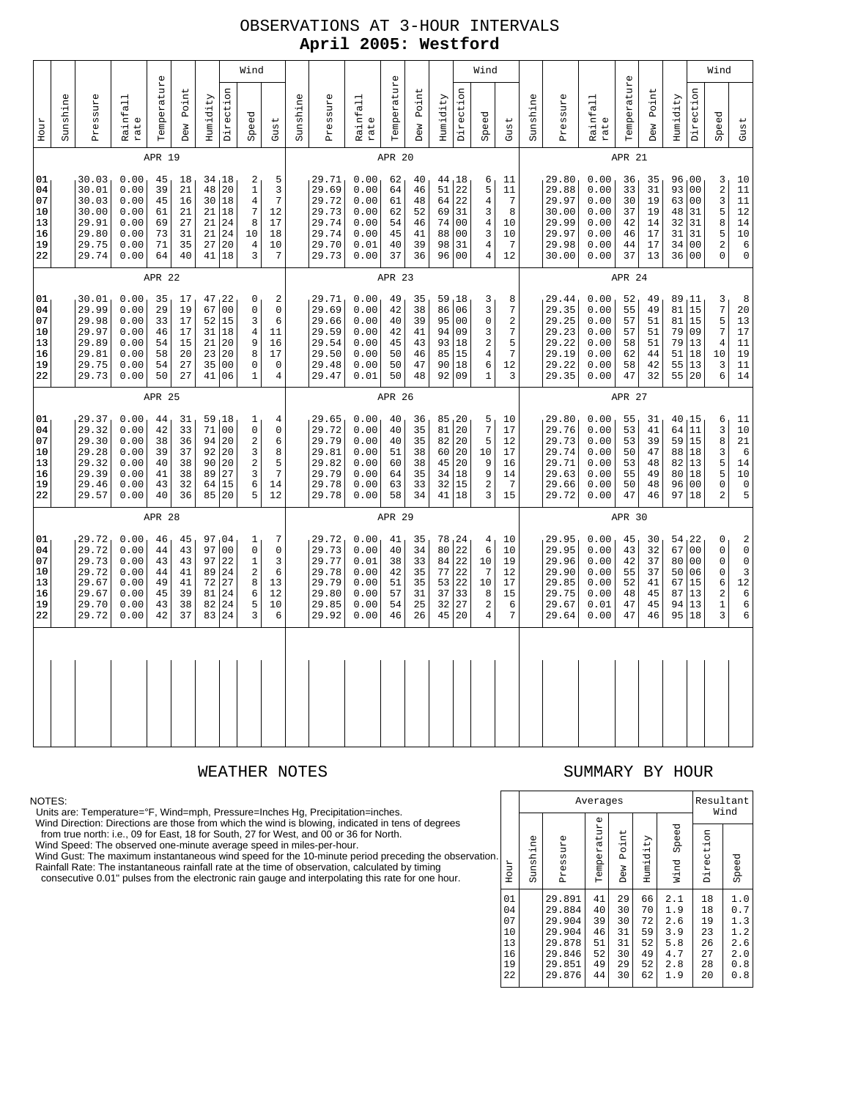# OBSERVATIONS AT 3-HOUR INTERVALS **April 2005: Westford**

| 01<br>04<br>07<br>10<br>13<br>16<br>19<br>22                                                              |        | 01<br>04<br>07<br>10<br>13<br>16<br>19<br>22                         |        | 01<br>04<br>07<br>10<br>13<br>16<br>19<br>22                                 |        | 01<br>04<br>07<br>10<br>13<br>16<br>19<br>22                                       |        | Hour             |             |
|-----------------------------------------------------------------------------------------------------------|--------|----------------------------------------------------------------------|--------|------------------------------------------------------------------------------|--------|------------------------------------------------------------------------------------|--------|------------------|-------------|
|                                                                                                           |        |                                                                      |        |                                                                              |        |                                                                                    |        | Sunshine         |             |
| 29.72<br>29.72<br>29.73<br>29.72<br>29.67<br>29.67<br>29.70<br>29.72                                      |        | 29.37<br>29.32<br>29.30<br>29.28<br>29.32<br>29.39<br>29.46<br>29.57 |        | 30.01<br>29.99<br>29.98<br>29.97<br>29.89<br>29.81<br>29.75<br>29.73         |        | 30.03<br>30.01<br>30.03<br>30.00<br>29.91<br>29.80<br>29.75<br>29.74               |        | Pressure         |             |
| 0.00<br>0.00<br>0.00<br>0.00<br>0.00<br>0.00<br>0.00<br>0.00                                              |        | 0.00<br>0.00<br>0.00<br>0.00<br>0.00<br>0.00<br>0.00<br>0.00         |        | 0.00<br>0.00<br>0.00<br>0.00<br>0.00<br>0.00<br>0.00<br>0.00                 |        | 0.00<br>0.00<br>0.00<br>0.00<br>0.00<br>0.00<br>0.00<br>0.00                       |        | Rainfall<br>rate |             |
| 46<br>44<br>43<br>44<br>49<br>45<br>43<br>42                                                              | APR 28 | 44<br>42<br>38<br>39<br>40<br>41<br>43<br>40                         | APR 25 | 35<br>29<br>33<br>46<br>54<br>58<br>54<br>50                                 | APR 22 | 45<br>39<br>45<br>61<br>69<br>73<br>71<br>64                                       | APR 19 | Temperature      |             |
| 45<br>43<br>43<br>41<br>41<br>39<br>38<br>37                                                              |        | 31<br>33<br>36<br>37<br>38<br>38<br>32<br>36                         |        | 17<br>19<br>17<br>17<br>15<br>20<br>27<br>27                                 |        | 18<br>21<br>16<br>21<br>27<br>31<br>35<br>40                                       |        | Point<br>Dew     |             |
| 97<br>97<br>72<br>81<br>82<br>83                                                                          |        | 59<br>92<br>90<br>89<br>64                                           |        | 67<br>52<br>21<br>23<br>35<br>41                                             |        | 48<br>21<br>21<br>21                                                               |        | Humidity         |             |
| 04<br>0 <sub>0</sub><br>97 22<br>89 24<br>27<br>24<br>24<br>24                                            |        | 18<br>71 00<br>94 20<br>20<br>20<br>27<br>15<br>85 20                |        | 47, 22<br>0 <sub>0</sub><br>15<br>31 18<br>20<br>20<br>0 <sub>0</sub><br>06  |        | 34,18<br>20<br>30 18<br>18<br>24<br>24<br>27 20<br>41 18                           |        | Direction        |             |
| 1<br>$\mathsf 0$<br>$\mathbf{1}$<br>2<br>8<br>6<br>5<br>3                                                 |        | 1<br>0<br>$\sqrt{2}$<br>3<br>$\overline{2}$<br>3<br>6<br>5           |        | 0<br>$\mathbf 0$<br>3<br>$\overline{4}$<br>9<br>8<br>0<br>$\mathbf{1}$       |        | 2<br>$\,1\,$<br>$\overline{4}$<br>$\overline{7}$<br>8<br>10<br>$\overline{4}$<br>3 |        | Speed            | Wind        |
| 7<br>$\mathsf{O}\xspace$<br>3<br>6<br>13<br>12<br>10<br>6                                                 |        | 4<br>0<br>6<br>8<br>5<br>$\overline{7}$<br>14<br>12                  |        | 2<br>$\mathbf 0$<br>6<br>11<br>16<br>17<br>$\mathbf 0$<br>$\overline{4}$     |        | 5<br>$\mathsf 3$<br>$\overline{7}$<br>12<br>17<br>18<br>10<br>$\overline{7}$       |        | Gust             |             |
|                                                                                                           |        |                                                                      |        |                                                                              |        |                                                                                    |        | ne<br>Sunshi     |             |
| 29.72<br>29.73<br>29.77<br>29.78<br>29.79<br>29.80<br>29.85<br>29.92                                      |        | 29.65<br>29.72<br>29.79<br>29.81<br>29.82<br>29.79<br>29.78<br>29.78 |        | 29.71<br>29.69<br>29.66<br>29.59<br>29.54<br>29.50<br>29.48<br>29.47         |        | 29.71<br>29.69<br>29.72<br>29.73<br>29.74<br>29.74<br>29.70<br>29.73               |        | Pressure         |             |
| 0.00<br>0.00<br>0.01<br>0.00<br>0.00<br>0.00<br>0.00<br>0.00                                              |        | 0.00<br>0.00<br>0.00<br>0.00<br>0.00<br>0.00<br>0.00<br>0.00         |        | 0.00<br>0.00<br>0.00<br>0.00<br>0.00<br>0.00<br>0.00<br>0.01                 |        | 0.00<br>0.00<br>0.00<br>0.00<br>0.00<br>0.00<br>0.01<br>0.00                       |        | Rainfall<br>rate |             |
| 41<br>40<br>38<br>42<br>51<br>57<br>54<br>46                                                              | APR 29 | 40<br>40<br>40<br>51<br>60<br>64<br>63<br>58                         | APR 26 | 49<br>42<br>40<br>42<br>45<br>50<br>50<br>50                                 | APR 23 | 62<br>64<br>61<br>62<br>54<br>45<br>40<br>37                                       | APR 20 | Temperatur       | $\mathbb O$ |
| 35<br>34<br>33<br>35<br>35<br>31<br>25<br>26                                                              |        | 36<br>35<br>35<br>38<br>38<br>35<br>33<br>34                         |        | 35<br>38<br>39<br>41<br>43<br>46<br>47<br>48                                 |        | 40<br>46<br>48<br>52<br>46<br>41<br>39<br>36                                       |        | Point<br>Dew     |             |
| 78<br>80<br>84<br>77<br>53<br>37<br>32<br>45                                                              |        | 85<br>81<br>82<br>60<br>45<br>34<br>32<br>41                         |        | 59<br>86<br>95<br>94<br>93<br>85<br>90<br>92                                 |        | 44,18<br>51<br>64<br>69<br>74<br>88<br>98<br>96                                    |        | Humidity         |             |
| 124<br>22<br>22<br>22<br>22<br>33<br>27<br>20                                                             |        | 120<br>20<br>20<br>20<br>20<br>18<br>15<br>18                        |        | 18<br>06<br>0 <sub>0</sub><br>09<br>18<br>15<br>18<br>09                     |        | 22<br>22<br>31<br>00<br>0 <sub>0</sub><br>31<br>0 <sub>0</sub>                     |        | Direction        |             |
| 4<br>6<br>10<br>7<br>10<br>8<br>$\boldsymbol{2}$<br>$\overline{4}$                                        |        | 5<br>$\overline{7}$<br>5<br>10<br>9<br>9<br>$\sqrt{2}$<br>3          |        | 3<br>3<br>$\mathsf 0$<br>3<br>$\sqrt{2}$<br>$\,4$<br>6<br>$\mathbf{1}$       |        | 6<br>5<br>$\,4$<br>3<br>$\,4$<br>3<br>$\overline{4}$<br>$\overline{4}$             |        | Speed            | Wind        |
| 10<br>10<br>19<br>12<br>17<br>15<br>6<br>$\sqrt{ }$                                                       |        | 10<br>17<br>12<br>17<br>16<br>14<br>$\overline{7}$<br>15             |        | 8<br>$\boldsymbol{7}$<br>$\sqrt{2}$<br>$\boldsymbol{7}$<br>5<br>7<br>12<br>3 |        | 11<br>11<br>$\sqrt{ }$<br>8<br>10<br>10<br>7<br>12                                 |        | Gust             |             |
|                                                                                                           |        |                                                                      |        |                                                                              |        |                                                                                    |        | Sunshine         |             |
| 29.95<br>29.95<br>29.96<br>29.90<br>29.85<br>29.75<br>29.67<br>29.64                                      |        | 29.80<br>29.76<br>29.73<br>29.74<br>29.71<br>29.63<br>29.66<br>29.72 |        | 29.44<br>29.35<br>29.25<br>29.23<br>29.22<br>29.19<br>29.22<br>29.35         |        | 29.80<br>29.88<br>29.97<br>30.00<br>29.99<br>29.97<br>29.98<br>30.00               |        | Pressure         |             |
| 0.00<br>0.00<br>0.00<br>0.00<br>0.00<br>0.00<br>0.01<br>0.00                                              |        | 0.00<br>0.00<br>0.00<br>0.00<br>0.00<br>0.00<br>0.00<br>0.00         |        | 0.00<br>0.00<br>0.00<br>0.00<br>0.00<br>0.00<br>0.00<br>0.00                 |        | 0.00<br>0.00<br>0.00<br>0.00<br>0.00<br>0.00<br>0.00<br>0.00                       |        | Rainfall<br>rate |             |
| 45<br>43<br>42<br>55<br>52<br>48<br>47<br>47                                                              | APR 30 | 55<br>53<br>53<br>50<br>53<br>55<br>50<br>47                         | APR 27 | 52<br>55<br>57<br>57<br>58<br>62<br>58<br>47                                 | APR 24 | 36<br>33<br>30<br>37<br>42<br>46<br>44<br>37                                       | APR 21 | Temperatur       | $\mathbb O$ |
| 30<br>32<br>37<br>37<br>41<br>45<br>45<br>46                                                              |        | 31<br>41<br>39<br>47<br>48<br>49<br>48<br>46                         |        | 49<br>49<br>51<br>51<br>51<br>44<br>42<br>32                                 |        | 35<br>31<br>19<br>19<br>14<br>17<br>17<br>13                                       |        | Point<br>Dew     |             |
| 54, 22<br>67<br>80<br>50<br>67<br>87<br>94<br>95                                                          |        | 40<br>64 11<br>59<br>88<br>82<br>80<br>96<br>97 18                   |        | 89<br>81 15<br>81<br>79<br>79<br>51<br>55<br>55                              |        | 96,00<br>93<br>63<br>48<br>32<br>31<br>34 00<br>36 00                              |        | Humidity         |             |
| 0 <sub>0</sub><br>0 <sup>0</sup><br>06<br>15<br>13<br>13<br>18                                            |        | 15<br>15<br>18<br>13<br>18<br>0 <sub>0</sub>                         |        | , 11<br>15<br>09<br>13<br>18<br>13<br>20                                     |        | 0 <sub>0</sub><br>0 <sub>0</sub><br>31<br>31<br>31                                 |        | Direction        |             |
| $\mathsf 0$<br>$\mathsf 0$<br>$\mathsf 0$<br>$\mathsf 0$<br>6<br>$\sqrt{2}$<br>$\mathbf 1$<br>3           |        | 6<br>3<br>8<br>3<br>5<br>5<br>$\mathsf 0$<br>$\overline{2}$          |        | 3<br>$\boldsymbol{7}$<br>5<br>$\sqrt{ }$<br>$\overline{4}$<br>10<br>3<br>6   |        | 3<br>$\sqrt{2}$<br>3<br>5<br>8<br>5<br>$\overline{2}$<br>$\mathbf 0$               |        | Speed            | Wind        |
| $\,2$<br>$\mathsf{O}\xspace$<br>$\mathsf{O}\xspace$<br>$\mathsf 3$<br>$1\sqrt{2}$<br>$\epsilon$<br>6<br>6 |        | 11<br>10<br>21<br>$\epsilon$<br>14<br>10<br>$\mathsf 0$<br>5         |        | 8<br>20<br>13<br>$17$<br>11<br>19<br>11<br>14                                |        | 10<br>11<br>11<br>12<br>14<br>$10$<br>6<br>$\mathsf{O}\xspace$                     |        | Gust             |             |

### NOTES:

Units are: Temperature=°F, Wind=mph, Pressure=Inches Hg, Precipitation=inches. Wind Direction: Directions are those from which the wind is blowing, indicated in tens of degrees from true north: i.e., 09 for East, 18 for South, 27 for West, and 00 or 36 for North.

Wind Speed: The observed one-minute average speed in miles-per-hour.

Wind Gust: The maximum instantaneous wind speed for the 10-minute period preceding the observation.<br>Rainfall Rate: The instantaneous rainfall rate at the time of observation, calculated by timing<br>consecutive 0.01" pulses f

## WEATHER NOTES SUMMARY BY HOUR

|     |                                              |          |                                                                              | Averages                                     |                                              |                                              |                                                      | Resultant<br>Wind                            |                                                      |
|-----|----------------------------------------------|----------|------------------------------------------------------------------------------|----------------------------------------------|----------------------------------------------|----------------------------------------------|------------------------------------------------------|----------------------------------------------|------------------------------------------------------|
| οn. | Hour                                         | Sunshine | Pressure                                                                     | Temperature                                  | Point<br>Dew                                 | Humidity                                     | Speed<br>Wind                                        | Direction                                    | Speed                                                |
|     | 01<br>04<br>07<br>10<br>13<br>16<br>19<br>22 |          | 29.891<br>29.884<br>29.904<br>29.904<br>29.878<br>29.846<br>29.851<br>29.876 | 41<br>40<br>39<br>46<br>51<br>52<br>49<br>44 | 29<br>30<br>30<br>31<br>31<br>30<br>29<br>30 | 66<br>70<br>72<br>59<br>52<br>49<br>52<br>62 | 2.1<br>1.9<br>2.6<br>3.9<br>5.8<br>4.7<br>2.8<br>1.9 | 18<br>18<br>19<br>23<br>26<br>27<br>28<br>20 | 1.0<br>0.7<br>1.3<br>1.2<br>2.6<br>2.0<br>0.8<br>0.8 |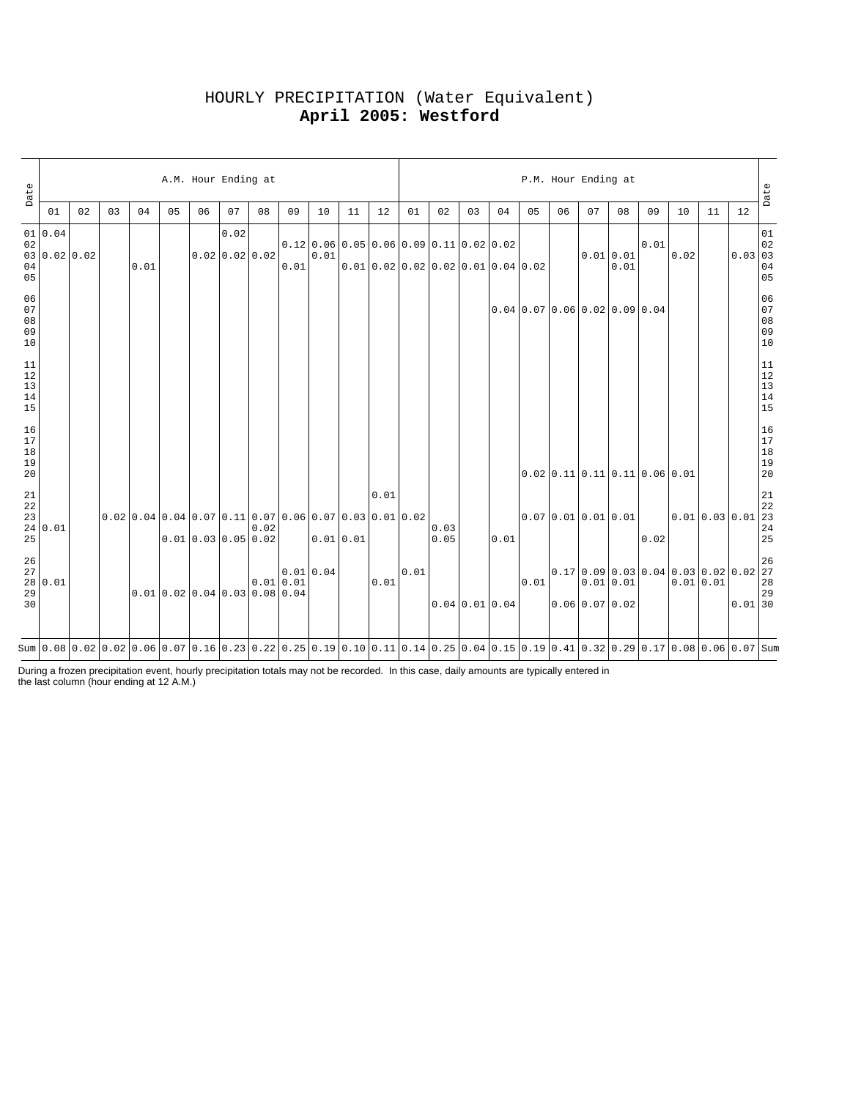| Date                                                          |                         |    |    |                                                                                                                                 |                                 | A.M. Hour Ending at |                          |      |             |          |           |      |      |                                                                                   |    |                            |                                                          | P.M. Hour Ending at        |    |                     |      |                                                |    |                                                        | Date                                                      |
|---------------------------------------------------------------|-------------------------|----|----|---------------------------------------------------------------------------------------------------------------------------------|---------------------------------|---------------------|--------------------------|------|-------------|----------|-----------|------|------|-----------------------------------------------------------------------------------|----|----------------------------|----------------------------------------------------------|----------------------------|----|---------------------|------|------------------------------------------------|----|--------------------------------------------------------|-----------------------------------------------------------|
|                                                               | 01                      | 02 | 03 | 04                                                                                                                              | 05                              | 06                  | 07                       | 08   | 09          | 10       | 11        | 12   | 01   | 02                                                                                | 03 | 04                         | 05                                                       | 06                         | 07 | 08                  | 09   | 10                                             | 11 | 12                                                     |                                                           |
| $0\,2$<br>04<br>05                                            | 01 0.04<br>03 0.02 0.02 |    |    | 0.01                                                                                                                            |                                 |                     | 0.02<br>$0.02$ 0.02 0.02 |      | 0.01        | 0.01     |           |      |      | $0.12 0.06 0.05 0.06 0.09 0.11 0.02 0.02$<br>$0.01$ 0.02 0.02 0.02 0.01 0.04 0.02 |    |                            |                                                          |                            |    | $0.01$ 0.01<br>0.01 | 0.01 | 0.02                                           |    | $\begin{array}{ c c }\n\hline\n0.03 & 03\n\end{array}$ | 01<br>04<br>05                                            |
| 06<br>07<br>$0\,8$<br>09<br>10                                |                         |    |    |                                                                                                                                 |                                 |                     |                          |      |             |          |           |      |      |                                                                                   |    |                            | $0.04 \mid 0.07 \mid 0.06 \mid 0.02 \mid 0.09 \mid 0.04$ |                            |    |                     |      |                                                |    |                                                        | 06<br>07<br>08<br>09<br>09<br>10                          |
| $11\,$<br>$\begin{array}{c} 12 \\ 13 \end{array}$<br>14<br>15 |                         |    |    |                                                                                                                                 |                                 |                     |                          |      |             |          |           |      |      |                                                                                   |    |                            |                                                          |                            |    |                     |      |                                                |    |                                                        | $\begin{array}{c} 11 \\ 12 \\ 13 \\ 14 \\ 15 \end{array}$ |
| 16<br>$17$<br>$18\,$<br>19<br>20                              |                         |    |    |                                                                                                                                 |                                 |                     |                          |      |             |          |           |      |      |                                                                                   |    |                            |                                                          |                            |    |                     |      | $0.02$ 0.11 0.11 0.11 0.06 0.01                |    |                                                        | 16<br>17<br>18<br>19<br>19<br>20                          |
| $\frac{21}{22}$<br>23<br>25                                   | 24 0.01                 |    |    | $0.02$   0.04   0.04   0.07   0.11   0.07   0.06   0.07   0.03   0.01   0.02                                                    |                                 | 0.010.030.050.02    |                          | 0.02 |             |          | 0.01 0.01 | 0.01 |      | 0.03<br>0.05                                                                      |    | 0.01                       |                                                          | $0.07$ 0.01 0.01 0.01      |    |                     | 0.02 | $\Big 0.01\Big 0.03\Big 0.01\Big 22$           |    |                                                        | $2\sqrt{1}$<br>$2\sqrt{4}$<br>25                          |
| 26<br>27<br>29<br>30                                          | 28 0.01                 |    |    |                                                                                                                                 | $0.01$ 0.02 0.04 0.03 0.08 0.04 |                     |                          |      | $0.01$ 0.01 | 0.010.04 |           | 0.01 | 0.01 |                                                                                   |    | $0.04 \mid 0.01 \mid 0.04$ | 0.01                                                     | $0.06 \mid 0.07 \mid 0.02$ |    | 0.01 0.01           |      | 0.170.0900.030.040.030.020.0222<br>$0.01$ 0.01 |    | $0.01$ 30                                              | 26<br>28<br>29                                            |
|                                                               |                         |    |    | Sum 0.08 0.02 0.02 0.06 0.07 0.16 0.23 0.22 0.25 0.19 0.10 0.11 0.14 0.25 0.04 0.15 0.19 0.41 0.32 0.29 0.17 0.08 0.06 0.07 Sum |                                 |                     |                          |      |             |          |           |      |      |                                                                                   |    |                            |                                                          |                            |    |                     |      |                                                |    |                                                        |                                                           |

# HOURLY PRECIPITATION (Water Equivalent) **April 2005: Westford**

During a frozen precipitation event, hourly precipitation totals may not be recorded. In this case, daily amounts are typically entered in the last column (hour ending at 12 A.M.)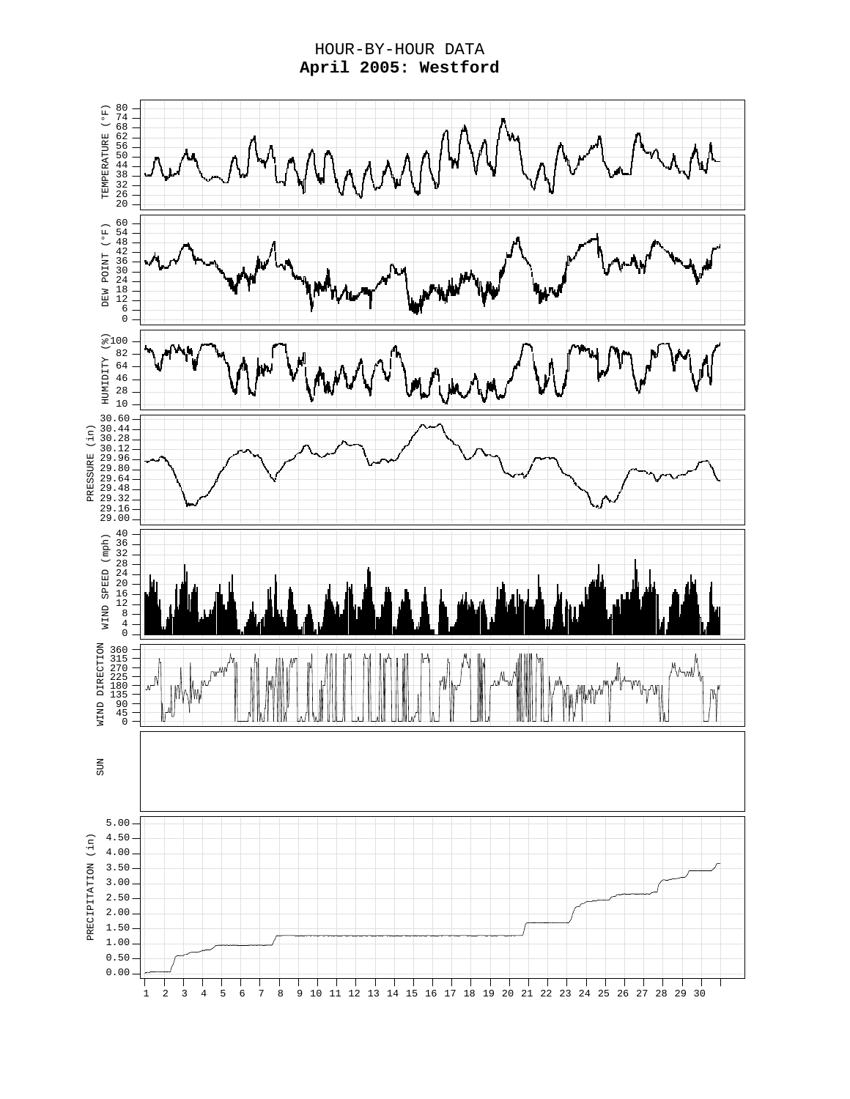HOUR-BY-HOUR DATA **April 2005: Westford**